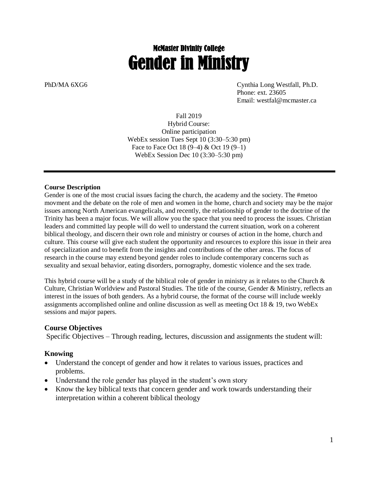# McMaster Divinity College Gender in Ministry

PhD/MA 6XG6 Cynthia Long Westfall, Ph.D. Phone: ext. 23605 Email: westfal@mcmaster.ca

> Fall 2019 Hybrid Course: Online participation WebEx session Tues Sept 10 (3:30–5:30 pm) Face to Face Oct 18 (9–4) & Oct 19 (9–1) WebEx Session Dec 10 (3:30–5:30 pm)

#### **Course Description**

Gender is one of the most crucial issues facing the church, the academy and the society. The #metoo movment and the debate on the role of men and women in the home, church and society may be the major issues among North American evangelicals, and recently, the relationship of gender to the doctrine of the Trinity has been a major focus. We will allow you the space that you need to process the issues. Christian leaders and committed lay people will do well to understand the current situation, work on a coherent biblical theology, and discern their own role and ministry or courses of action in the home, church and culture. This course will give each student the opportunity and resources to explore this issue in their area of specialization and to benefit from the insights and contributions of the other areas. The focus of research in the course may extend beyond gender roles to include contemporary concerns such as sexuality and sexual behavior, eating disorders, pornography, domestic violence and the sex trade.

This hybrid course will be a study of the biblical role of gender in ministry as it relates to the Church  $\&$ Culture, Christian Worldview and Pastoral Studies. The title of the course, Gender & Ministry, reflects an interest in the issues of both genders. As a hybrid course, the format of the course will include weekly assignments accomplished online and online discussion as well as meeting Oct 18 & 19, two WebEx sessions and major papers.

#### **Course Objectives**

Specific Objectives – Through reading, lectures, discussion and assignments the student will:

#### **Knowing**

- Understand the concept of gender and how it relates to various issues, practices and problems.
- Understand the role gender has played in the student's own story
- Know the key biblical texts that concern gender and work towards understanding their interpretation within a coherent biblical theology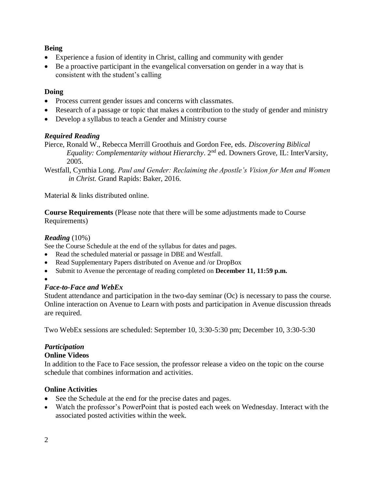# **Being**

- Experience a fusion of identity in Christ, calling and community with gender
- Be a proactive participant in the evangelical conversation on gender in a way that is consistent with the student's calling

# **Doing**

- Process current gender issues and concerns with classmates.
- Research of a passage or topic that makes a contribution to the study of gender and ministry
- Develop a syllabus to teach a Gender and Ministry course

# *Required Reading*

Pierce, Ronald W., Rebecca Merrill Groothuis and Gordon Fee, eds. *Discovering Biblical Equality: Complementarity without Hierarchy*. 2nd ed. Downers Grove, IL: InterVarsity, 2005.

Westfall, Cynthia Long. *Paul and Gender: Reclaiming the Apostle's Vision for Men and Women in Christ.* Grand Rapids: Baker, 2016.

Material & links distributed online.

**Course Requirements** (Please note that there will be some adjustments made to Course Requirements)

# *Reading* (10%)

See the Course Schedule at the end of the syllabus for dates and pages.

- Read the scheduled material or passage in DBE and Westfall.
- Read Supplementary Papers distributed on Avenue and /or DropBox
- Submit to Avenue the percentage of reading completed on **December 11, 11:59 p.m.**
- •

# *Face-to-Face and WebEx*

Student attendance and participation in the two-day seminar (Oc) is necessary to pass the course. Online interaction on Avenue to Learn with posts and participation in Avenue discussion threads are required.

Two WebEx sessions are scheduled: September 10, 3:30-5:30 pm; December 10, 3:30-5:30

# *Participation*

# **Online Videos**

In addition to the Face to Face session, the professor release a video on the topic on the course schedule that combines information and activities.

# **Online Activities**

- See the Schedule at the end for the precise dates and pages.
- Watch the professor's PowerPoint that is posted each week on Wednesday. Interact with the associated posted activities within the week.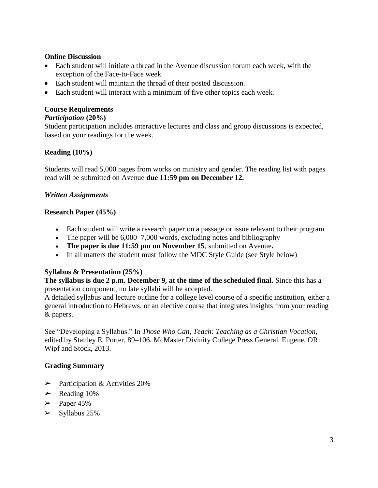#### **Online Discussion**

- Each student will initiate a thread in the Avenue discussion forum each week, with the exception of the Face-to-Face week.
- Each student will maintain the thread of their posted discussion.
- Each student will interact with a minimum of five other topics each week.

#### **Course Requirements**

#### *Participation* **(20%)**

Student participation includes interactive lectures and class and group discussions is expected, based on your readings for the week.

# **Reading (10%)**

Students will read 5,000 pages from works on ministry and gender. The reading list with pages read will be submitted on Avenue **due 11:59 pm on December 12.** 

#### *Written Assignments*

#### **Research Paper (45%)**

- Each student will write a research paper on a passage or issue relevant to their program
- The paper will be 6,000–7,000 words, excluding notes and bibliography
- **The paper is due 11:59 pm on November 15**, submitted on Avenue**.**
- In all matters the student must follow the MDC Style Guide (see Style below)

#### **Syllabus & Presentation (25%)**

**The syllabus is due 2 p.m. December 9, at the time of the scheduled final.** Since this has a presentation component, no late syllabi will be accepted.

A detailed syllabus and lecture outline for a college level course of a specific institution, either a general introduction to Hebrews, or an elective course that integrates insights from your reading & papers.

See "Developing a Syllabus." In *Those Who Can, Teach: Teaching as a Christian Vocation*, edited by Stanley E. Porter, 89–106. McMaster Divinity College Press General. Eugene, OR: Wipf and Stock, 2013.

# **Grading Summary**

- $\triangleright$  Participation & Activities 20%
- $\blacktriangleright$  Reading 10%
- $\geq$  Paper 45%
- $\triangleright$  Syllabus 25%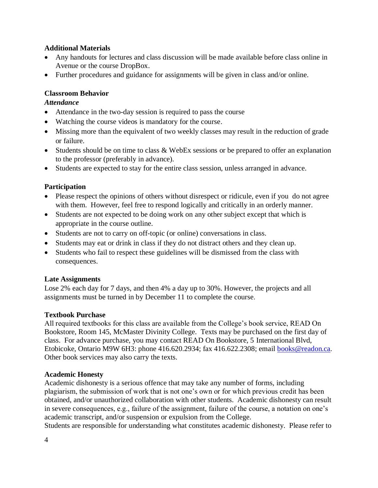#### **Additional Materials**

- Any handouts for lectures and class discussion will be made available before class online in Avenue or the course DropBox.
- Further procedures and guidance for assignments will be given in class and/or online.

# **Classroom Behavior**

# *Attendance*

- Attendance in the two-day session is required to pass the course
- Watching the course videos is mandatory for the course.
- Missing more than the equivalent of two weekly classes may result in the reduction of grade or failure.
- Students should be on time to class & WebEx sessions or be prepared to offer an explanation to the professor (preferably in advance).
- Students are expected to stay for the entire class session, unless arranged in advance.

# **Participation**

- Please respect the opinions of others without disrespect or ridicule, even if you do not agree with them. However, feel free to respond logically and critically in an orderly manner.
- Students are not expected to be doing work on any other subject except that which is appropriate in the course outline.
- Students are not to carry on off-topic (or online) conversations in class.
- Students may eat or drink in class if they do not distract others and they clean up.
- Students who fail to respect these guidelines will be dismissed from the class with consequences.

# **Late Assignments**

Lose 2% each day for 7 days, and then 4% a day up to 30%. However, the projects and all assignments must be turned in by December 11 to complete the course.

# **Textbook Purchase**

All required textbooks for this class are available from the College's book service, READ On Bookstore, Room 145, McMaster Divinity College. Texts may be purchased on the first day of class. For advance purchase, you may contact READ On Bookstore, 5 International Blvd, Etobicoke, Ontario M9W 6H3: phone 416.620.2934; fax 416.622.2308; email [books@readon.ca.](mailto:books@readon.ca) Other book services may also carry the texts.

# **Academic Honesty**

Academic dishonesty is a serious offence that may take any number of forms, including plagiarism, the submission of work that is not one's own or for which previous credit has been obtained, and/or unauthorized collaboration with other students. Academic dishonesty can result in severe consequences, e.g., failure of the assignment, failure of the course, a notation on one's academic transcript, and/or suspension or expulsion from the College.

Students are responsible for understanding what constitutes academic dishonesty. Please refer to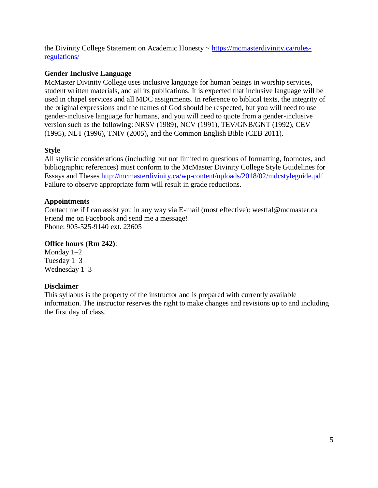the Divinity College Statement on Academic Honesty ~ [https://mcmasterdivinity.ca/rules](https://mcmasterdivinity.ca/rules-regulations/)[regulations/](https://mcmasterdivinity.ca/rules-regulations/)

# **Gender Inclusive Language**

McMaster Divinity College uses inclusive language for human beings in worship services, student written materials, and all its publications. It is expected that inclusive language will be used in chapel services and all MDC assignments. In reference to biblical texts, the integrity of the original expressions and the names of God should be respected, but you will need to use gender-inclusive language for humans, and you will need to quote from a gender-inclusive version such as the following: NRSV (1989), NCV (1991), TEV/GNB/GNT (1992), CEV (1995), NLT (1996), TNIV (2005), and the Common English Bible (CEB 2011).

# **Style**

All stylistic considerations (including but not limited to questions of formatting, footnotes, and bibliographic references) must conform to the McMaster Divinity College Style Guidelines for Essays and Theses http://mcmasterdivinity.ca/wp-content/uploads/2018/02/mdcstyleguide.pdf Failure to observe appropriate form will result in grade reductions.

# **Appointments**

Contact me if I can assist you in any way via E-mail (most effective): westfal@mcmaster.ca Friend me on Facebook and send me a message! Phone: 905-525-9140 ext. 23605

# **Office hours (Rm 242)**:

Monday 1–2 Tuesday 1–3 Wednesday 1–3

# **Disclaimer**

This syllabus is the property of the instructor and is prepared with currently available information. The instructor reserves the right to make changes and revisions up to and including the first day of class.